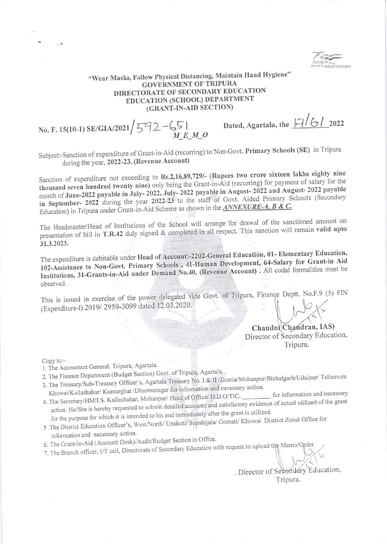## "Wear Masks, Follow Physical Distancing, Maintain Hand Hygiene" **GOVERNMENT OF TRIPURA** DIRECTORATE OF SECONDARY EDUCATION EDUCATION (SCHOOL) DEPARTMENT (GRANT-IN-AID SECTION)

No. F. 15(10-1) SE/GIA/2021  $\frac{592 - 651}{M E M Q}$ 

Dated, Agartala, the  $\frac{|1|}{6}$  2022

Subject:-Sanction of expenditure of Grant-in-Aid (recurring) to Non-Govt. Primary Schools (SE) in Tripura during the year, 2022-23. (Revenue Account)

Sanction of expenditure not exceeding to Rs.2,16,89,729/- (Rupees two crore sixteen lakhs eighty nine thousand seven hundred twenty nine) only being the Grant-in-Aid (recurring) for payment of salary for the month of June-2022 payable in July-2022, July-2022 payable in August-2022 and August-2022 payable in September- 2022 during the year 2022-23 to the staff of Govt. Aided Primary Schools (Secondary Education) in Tripura under Grant-in-Aid Scheme as shown in the ANNEXURE-A, B & C.

The Headmaster/Head of Institutions of the School will arrange for drawal of the sanctioned amount on presentation of bill in T.R.42 duly signed & completed in all respect. This sanction will remain valid upto 31.3.2023.

The expenditure is debitable under Head of Account:-2202-General Education, 01- Elementary Education, 102-Assistance to Non-Govt. Primary Schools, 41-Human Development, 64-Salary for Grant-in Aid Institutions, 31-Grants-in-Aid under Demand No.40, (Revenue Account) . All codal formalities must be observed.

This is issued in exercise of the power delegated vide Govt. of Tripura, Finance Deptt. No.F.9 (5) FIN (Expenditure-I) 2019/2959-3099 dated 12.03.2020.

> Chandni Chandran, IAS) Director of Secondary Education, Tripura.

Copy to:-

- 1. The Accountant General, Tripura, Agartala.
- 2. The Finance Department (Budget Section) Govt. of Tripura, Agartala.
- 3. The Treasury/Sub-Treasury Officer's, Agartala Treasury No. I & II /Jirania/Mohanpur/Bishalgarh/Udaipur/ Teliamura Khowai/Kailashahar/ Kumarghat /Dharmanagar for information and necessary action.
- 4. The Secretary/HM/I.S. Kailashahar, Mohanpur/ Head of Office/ D.D.O/TIC, \_\_\_\_\_\_\_\_ for information and necessary action. He/She is hereby requested to submit detailed accounts and satisfactory evidence of actual utilized of the grant for the purpose for which it is intended to his end immediately after the grant is utilized.
- 5 .The District Education Officer's, West/North/ Unakoti/ Sepahijala/ Gomati/ Khowai District Zonal Office for information and necessary action.
- 6. The Grant-in-Aid (Account Desk)/Audit/Budget Section in Office.
- 7. The Branch officer, I/T cell, Directorate of Secondary Education with request to upload the Memo/Order.

. Director of Secondary Education, Tripura.